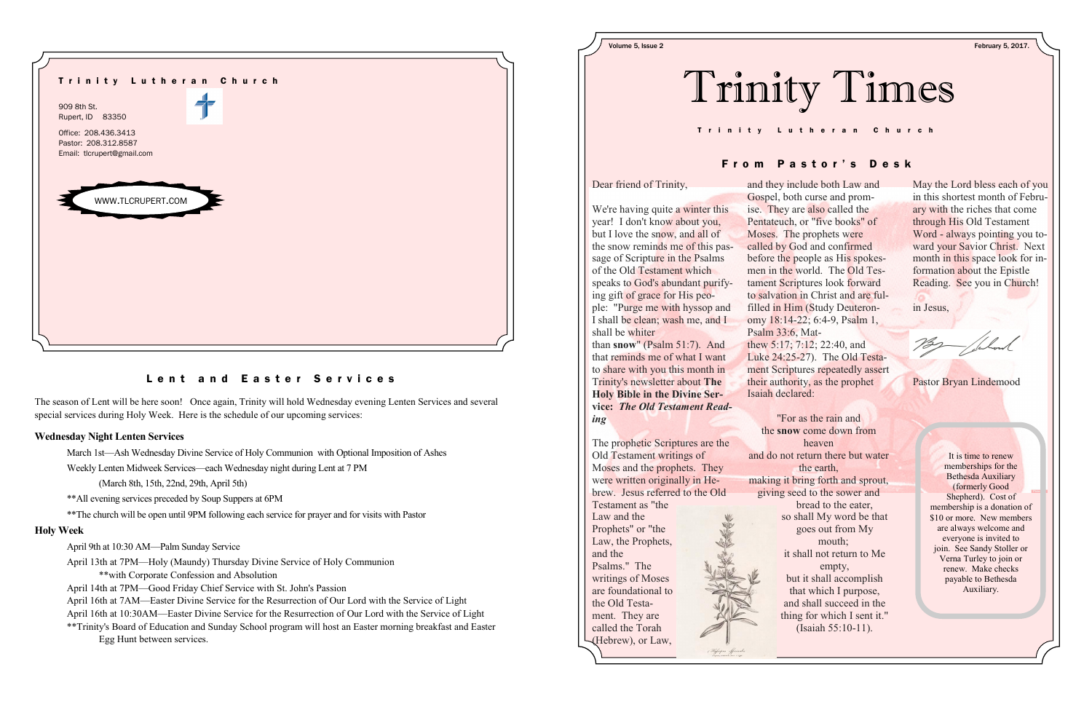The season of Lent will be here soon! Once again, Trinity will hold Wednesday evening Lenten Services and several special services during Holy Week. Here is the schedule of our upcoming services:

## **Wednesday Night Lenten Services**

March 1st—Ash Wednesday Divine Service of Holy Communion with Optional Imposition of Ashes

Weekly Lenten Midweek Services—each Wednesday night during Lent at 7 PM

(March 8th, 15th, 22nd, 29th, April 5th)

\*\*All evening services preceded by Soup Suppers at 6PM

\*\*The church will be open until 9PM following each service for prayer and for visits with Pastor

## **Holy Week**

- April 9th at 10:30 AM—Palm Sunday Service
- April 13th at 7PM—Holy (Maundy) Thursday Divine Service of Holy Communion \*\*with Corporate Confession and Absolution
- April 14th at 7PM—Good Friday Chief Service with St. John's Passion
- April 16th at 7AM—Easter Divine Service for the Resurrection of Our Lord with the Service of Light
- April 16th at 10:30AM—Easter Divine Service for the Resurrection of Our Lord with the Service of Light
- \*\*Trinity's Board of Education and Sunday School program will host an Easter morning breakfast and Easter Egg Hunt between services.

| Trinit |  |
|--------|--|
|        |  |



# Lent and Easter Services

May the Lord bless each of you in this shortest month of February with the riches that come through His Old Testament Word - always pointing you toward your Savior Christ. Next month in this space look for information about the Epistle Reading. See you in Church!

in Jesus,

Pastor Bryan Lindemood

Dear friend of Trinity,

We're having quite a winter this year! I don't know about you, but I love the snow, and all of the snow reminds me of this passage of Scripture in the Psalms of the Old Testament which speaks to God's abundant purifying gift of grace for His people: "Purge me with hyssop and I shall be clean; wash me, and I shall be whiter

than **snow**" (Psalm 51:7). And that reminds me of what I want to share with you this month in Trinity's newsletter about **The Holy Bible in the Divine Service:** *The Old Testament Reading*

The prophetic Scriptures are the Old Testament writings of Moses and the prophets. They were written originally in Hebrew. Jesus referred to the Old Testament as "the Law and the Prophets" or "the Law, the Prophets, and the Psalms." The writings of Moses are foundational to the Old Testament. They are called the Torah (Hebrew), or Law,

and they include both Law and Gospel, both curse and promise. They are also called the Pentateuch, or "five books" of Moses. The prophets were called by God and confirmed before the people as His spokesmen in the world. The Old Testament Scriptures look forward to salvation in Christ and are fulfilled in Him (Study Deuteronomy 18:14-22; 6:4-9, Psalm 1, thew 5:17; 7:12; 22:40, and Luke 24:25-27). The Old Testament Scriptures repeatedly assert their authority, as the prophet

Psalm 33:6, Mat-Isaiah declared:

and do not return there but water making it bring forth and sprout, giving seed to the sower and

"For as the rain and the **snow** come down from heaven the earth, bread to the eater, so shall My word be that goes out from My mouth; it shall not return to Me empty, but it shall accomplish that which I purpose, and shall succeed in the thing for which I sent it."

(Isaiah 55:10-11).

T r i n i t y L u t h e r a n C h u r c h



# From Pastor's Desk

Volume 5, Issue 2 February 5, 2017.

It is time to renew memberships for the Bethesda Auxiliary (formerly Good Shepherd). Cost of membership is a donation of \$10 or more. New members are always welcome and everyone is invited to join. See Sandy Stoller or Verna Turley to join or renew. Make checks payable to Bethesda Auxiliary.